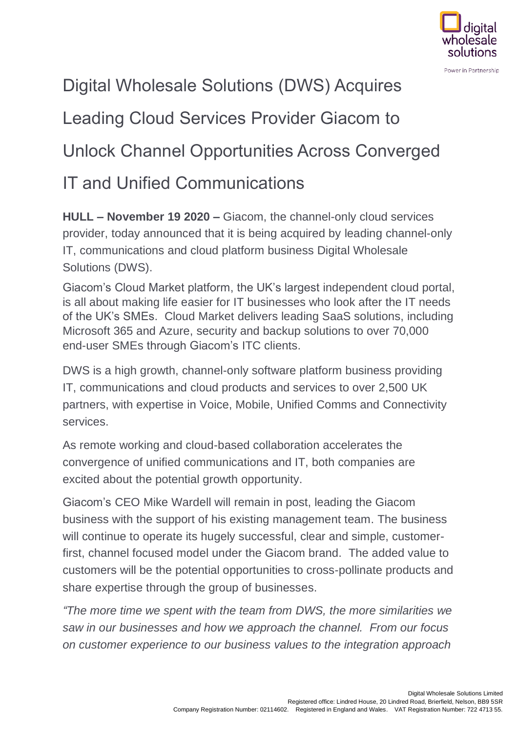

## Digital Wholesale Solutions (DWS) Acquires

# Leading Cloud Services Provider Giacom to

### Unlock Channel Opportunities Across Converged

### IT and Unified Communications

**HULL – November 19 2020 –** Giacom, the channel-only cloud services provider, today announced that it is being acquired by leading channel-only IT, communications and cloud platform business Digital Wholesale Solutions (DWS).

Giacom's Cloud Market platform, the UK's largest independent cloud portal, is all about making life easier for IT businesses who look after the IT needs of the UK's SMEs. Cloud Market delivers leading SaaS solutions, including Microsoft 365 and Azure, security and backup solutions to over 70,000 end-user SMEs through Giacom's ITC clients.

DWS is a high growth, channel-only software platform business providing IT, communications and cloud products and services to over [2,500](tel:+442500) UK partners, with expertise in Voice, Mobile, Unified Comms and Connectivity services.

As remote working and cloud-based collaboration accelerates the convergence of unified communications and IT, both companies are excited about the potential growth opportunity.

Giacom's CEO Mike Wardell will remain in post, leading the Giacom business with the support of his existing management team. The business will continue to operate its hugely successful, clear and simple, customerfirst, channel focused model under the Giacom brand. The added value to customers will be the potential opportunities to cross-pollinate products and share expertise through the group of businesses.

*"The more time we spent with the team from DWS, the more similarities we saw in our businesses and how we approach the channel. From our focus on customer experience to our business values to the integration approach*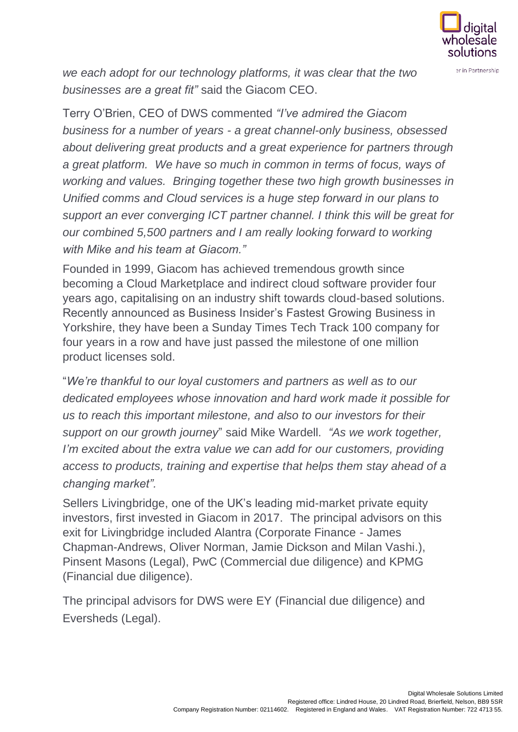

*we each adopt for our technology platforms, it was clear that the two businesses are a great fit"* said the Giacom CEO.

Terry O'Brien, CEO of DWS commented *"I've admired the Giacom business for a number of years - a great channel-only business, obsessed about delivering great products and a great experience for partners through a great platform. We have so much in common in terms of focus, ways of working and values. Bringing together these two high growth businesses in Unified comms and Cloud services is a huge step forward in our plans to support an ever converging ICT partner channel. I think this will be great for our combined 5,500 partners and I am really looking forward to working with Mike and his team at Giacom."*

Founded in 1999, Giacom has achieved tremendous growth since becoming a Cloud Marketplace and indirect cloud software provider four years ago, capitalising on an industry shift towards cloud-based solutions. Recently announced as Business Insider's Fastest Growing Business in Yorkshire, they have been a Sunday Times Tech Track 100 company for four years in a row and have just passed the milestone of one million product licenses sold.

"*We're thankful to our loyal customers and partners as well as to our dedicated employees whose innovation and hard work made it possible for us to reach this important milestone, and also to our investors for their support on our growth journey*" said Mike Wardell. *"As we work together, I'm excited about the extra value we can add for our customers, providing access to products, training and expertise that helps them stay ahead of a changing market".*

Sellers Livingbridge, one of the UK's leading mid-market private equity investors, first invested in Giacom in 2017. The principal advisors on this exit for Livingbridge included Alantra (Corporate Finance - James Chapman-Andrews, Oliver Norman, Jamie Dickson and Milan Vashi.), Pinsent Masons (Legal), PwC (Commercial due diligence) and KPMG (Financial due diligence).

The principal advisors for DWS were EY (Financial due diligence) and Eversheds (Legal).